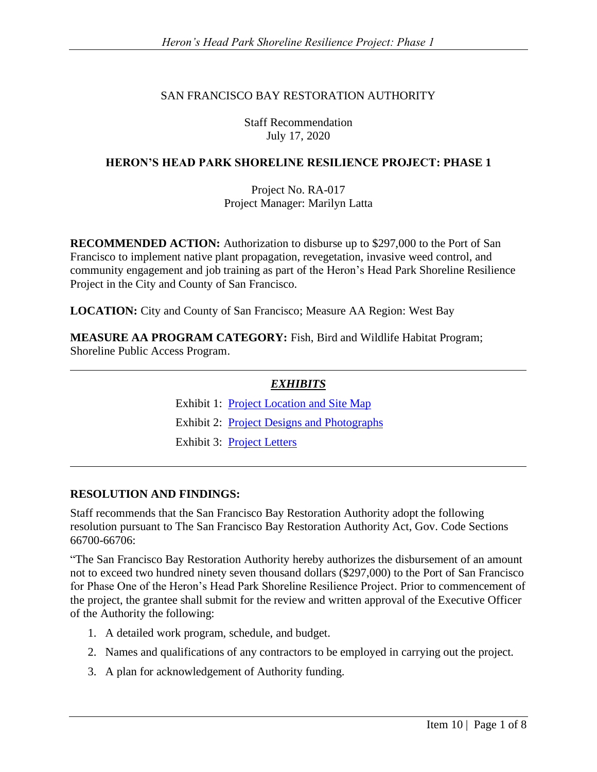### SAN FRANCISCO BAY RESTORATION AUTHORITY

Staff Recommendation July 17, 2020

### **HERON'S HEAD PARK SHORELINE RESILIENCE PROJECT: PHASE 1**

Project No. RA-017 Project Manager: Marilyn Latta

**RECOMMENDED ACTION:** Authorization to disburse up to \$297,000 to the Port of San Francisco to implement native plant propagation, revegetation, invasive weed control, and community engagement and job training as part of the Heron's Head Park Shoreline Resilience Project in the City and County of San Francisco.

**LOCATION:** City and County of San Francisco; Measure AA Region: West Bay

**MEASURE AA PROGRAM CATEGORY:** Fish, Bird and Wildlife Habitat Program; Shoreline Public Access Program.

#### *EXHIBITS*

Exhibit 1: [Project Location and Site Map](http://sfbayrestore.org/sites/default/files/2020-07/EX1_HE~1.PDF) Exhibit 2: [Project Designs and Photographs](http://sfbayrestore.org/sites/default/files/2020-07/EX2_HE~1.PDF) Exhibit 3: [Project Letters](http://sfbayrestore.org/sites/default/files/2020-07/Ex%203_Project%20Letters.pdf)

#### **RESOLUTION AND FINDINGS:**

Staff recommends that the San Francisco Bay Restoration Authority adopt the following resolution pursuant to The San Francisco Bay Restoration Authority Act, Gov. Code Sections 66700-66706:

"The San Francisco Bay Restoration Authority hereby authorizes the disbursement of an amount not to exceed two hundred ninety seven thousand dollars (\$297,000) to the Port of San Francisco for Phase One of the Heron's Head Park Shoreline Resilience Project. Prior to commencement of the project, the grantee shall submit for the review and written approval of the Executive Officer of the Authority the following:

- 1. A detailed work program, schedule, and budget.
- 2. Names and qualifications of any contractors to be employed in carrying out the project.
- 3. A plan for acknowledgement of Authority funding.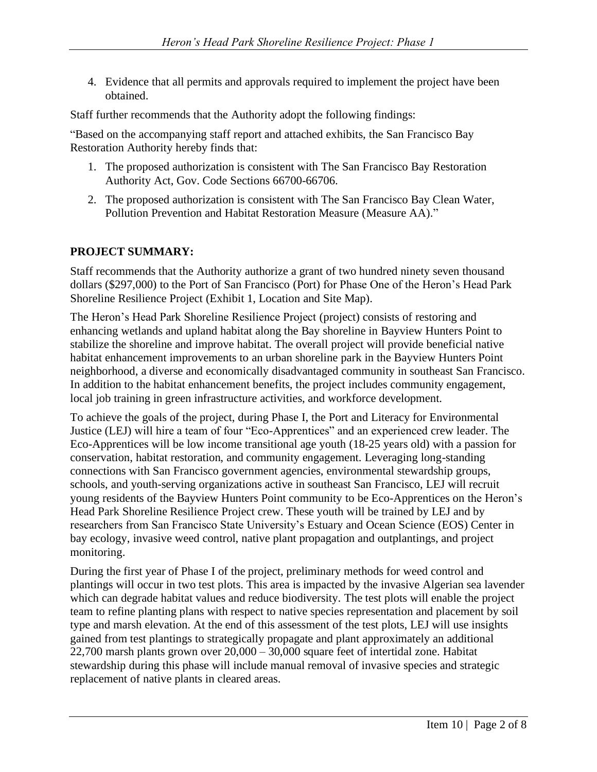4. Evidence that all permits and approvals required to implement the project have been obtained.

Staff further recommends that the Authority adopt the following findings:

"Based on the accompanying staff report and attached exhibits, the San Francisco Bay Restoration Authority hereby finds that:

- 1. The proposed authorization is consistent with The San Francisco Bay Restoration Authority Act, Gov. Code Sections 66700-66706.
- 2. The proposed authorization is consistent with The San Francisco Bay Clean Water, Pollution Prevention and Habitat Restoration Measure (Measure AA)."

# **PROJECT SUMMARY:**

Staff recommends that the Authority authorize a grant of two hundred ninety seven thousand dollars (\$297,000) to the Port of San Francisco (Port) for Phase One of the Heron's Head Park Shoreline Resilience Project (Exhibit 1, Location and Site Map).

The Heron's Head Park Shoreline Resilience Project (project) consists of restoring and enhancing wetlands and upland habitat along the Bay shoreline in Bayview Hunters Point to stabilize the shoreline and improve habitat. The overall project will provide beneficial native habitat enhancement improvements to an urban shoreline park in the Bayview Hunters Point neighborhood, a diverse and economically disadvantaged community in southeast San Francisco. In addition to the habitat enhancement benefits, the project includes community engagement, local job training in green infrastructure activities, and workforce development.

To achieve the goals of the project, during Phase I, the Port and Literacy for Environmental Justice (LEJ) will hire a team of four "Eco-Apprentices" and an experienced crew leader. The Eco-Apprentices will be low income transitional age youth (18-25 years old) with a passion for conservation, habitat restoration, and community engagement. Leveraging long-standing connections with San Francisco government agencies, environmental stewardship groups, schools, and youth-serving organizations active in southeast San Francisco, LEJ will recruit young residents of the Bayview Hunters Point community to be Eco-Apprentices on the Heron's Head Park Shoreline Resilience Project crew. These youth will be trained by LEJ and by researchers from San Francisco State University's Estuary and Ocean Science (EOS) Center in bay ecology, invasive weed control, native plant propagation and outplantings, and project monitoring.

During the first year of Phase I of the project, preliminary methods for weed control and plantings will occur in two test plots. This area is impacted by the invasive Algerian sea lavender which can degrade habitat values and reduce biodiversity. The test plots will enable the project team to refine planting plans with respect to native species representation and placement by soil type and marsh elevation. At the end of this assessment of the test plots, LEJ will use insights gained from test plantings to strategically propagate and plant approximately an additional 22,700 marsh plants grown over 20,000 – 30,000 square feet of intertidal zone. Habitat stewardship during this phase will include manual removal of invasive species and strategic replacement of native plants in cleared areas.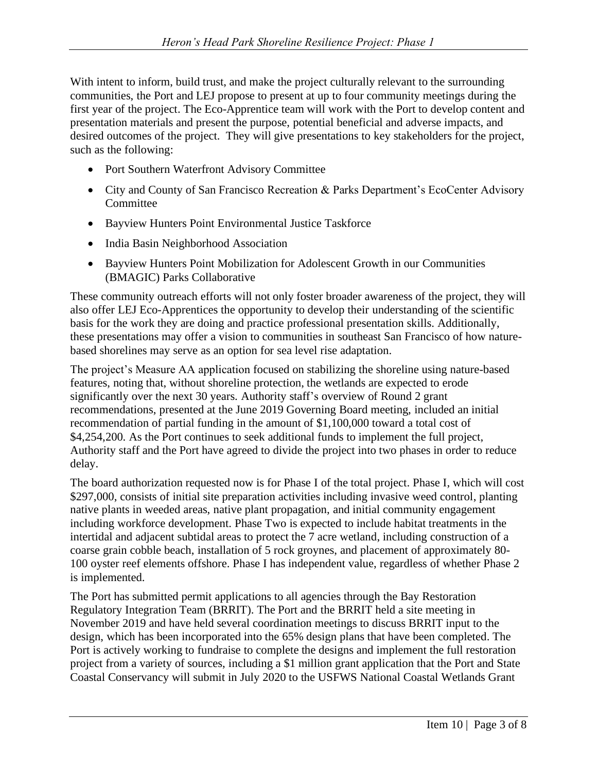With intent to inform, build trust, and make the project culturally relevant to the surrounding communities, the Port and LEJ propose to present at up to four community meetings during the first year of the project. The Eco-Apprentice team will work with the Port to develop content and presentation materials and present the purpose, potential beneficial and adverse impacts, and desired outcomes of the project. They will give presentations to key stakeholders for the project, such as the following:

- Port Southern Waterfront Advisory Committee
- City and County of San Francisco Recreation & Parks Department's EcoCenter Advisory **Committee**
- Bayview Hunters Point Environmental Justice Taskforce
- India Basin Neighborhood Association
- Bayview Hunters Point Mobilization for Adolescent Growth in our Communities (BMAGIC) Parks Collaborative

These community outreach efforts will not only foster broader awareness of the project, they will also offer LEJ Eco-Apprentices the opportunity to develop their understanding of the scientific basis for the work they are doing and practice professional presentation skills. Additionally, these presentations may offer a vision to communities in southeast San Francisco of how naturebased shorelines may serve as an option for sea level rise adaptation.

The project's Measure AA application focused on stabilizing the shoreline using nature-based features, noting that, without shoreline protection, the wetlands are expected to erode significantly over the next 30 years. Authority staff's overview of Round 2 grant recommendations, presented at the June 2019 Governing Board meeting, included an initial recommendation of partial funding in the amount of \$1,100,000 toward a total cost of \$4,254,200. As the Port continues to seek additional funds to implement the full project, Authority staff and the Port have agreed to divide the project into two phases in order to reduce delay.

The board authorization requested now is for Phase I of the total project. Phase I, which will cost \$297,000, consists of initial site preparation activities including invasive weed control, planting native plants in weeded areas, native plant propagation, and initial community engagement including workforce development. Phase Two is expected to include habitat treatments in the intertidal and adjacent subtidal areas to protect the 7 acre wetland, including construction of a coarse grain cobble beach, installation of 5 rock groynes, and placement of approximately 80- 100 oyster reef elements offshore. Phase I has independent value, regardless of whether Phase 2 is implemented.

The Port has submitted permit applications to all agencies through the Bay Restoration Regulatory Integration Team (BRRIT). The Port and the BRRIT held a site meeting in November 2019 and have held several coordination meetings to discuss BRRIT input to the design, which has been incorporated into the 65% design plans that have been completed. The Port is actively working to fundraise to complete the designs and implement the full restoration project from a variety of sources, including a \$1 million grant application that the Port and State Coastal Conservancy will submit in July 2020 to the USFWS National Coastal Wetlands Grant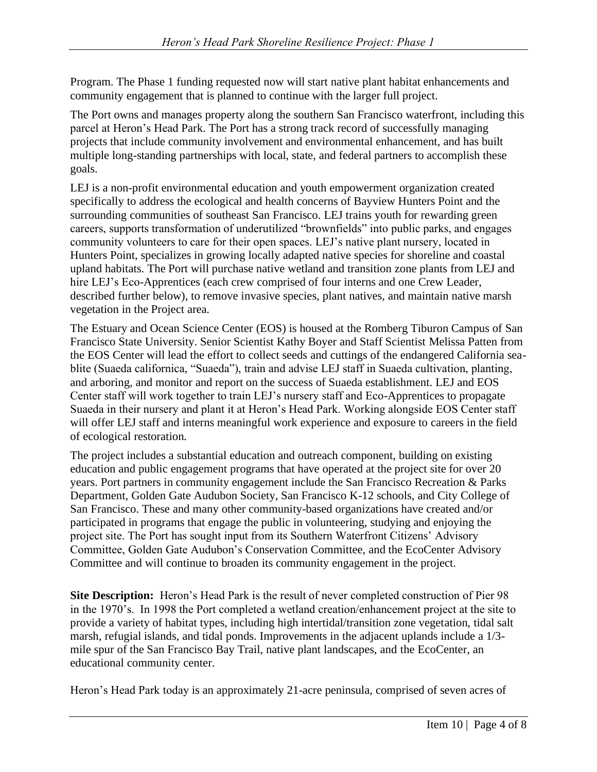Program. The Phase 1 funding requested now will start native plant habitat enhancements and community engagement that is planned to continue with the larger full project.

The Port owns and manages property along the southern San Francisco waterfront, including this parcel at Heron's Head Park. The Port has a strong track record of successfully managing projects that include community involvement and environmental enhancement, and has built multiple long-standing partnerships with local, state, and federal partners to accomplish these goals.

LEJ is a non-profit environmental education and youth empowerment organization created specifically to address the ecological and health concerns of Bayview Hunters Point and the surrounding communities of southeast San Francisco. LEJ trains youth for rewarding green careers, supports transformation of underutilized "brownfields" into public parks, and engages community volunteers to care for their open spaces. LEJ's native plant nursery, located in Hunters Point, specializes in growing locally adapted native species for shoreline and coastal upland habitats. The Port will purchase native wetland and transition zone plants from LEJ and hire LEJ's Eco-Apprentices (each crew comprised of four interns and one Crew Leader, described further below), to remove invasive species, plant natives, and maintain native marsh vegetation in the Project area.

The Estuary and Ocean Science Center (EOS) is housed at the Romberg Tiburon Campus of San Francisco State University. Senior Scientist Kathy Boyer and Staff Scientist Melissa Patten from the EOS Center will lead the effort to collect seeds and cuttings of the endangered California seablite (Suaeda californica, "Suaeda"), train and advise LEJ staff in Suaeda cultivation, planting, and arboring, and monitor and report on the success of Suaeda establishment. LEJ and EOS Center staff will work together to train LEJ's nursery staff and Eco-Apprentices to propagate Suaeda in their nursery and plant it at Heron's Head Park. Working alongside EOS Center staff will offer LEJ staff and interns meaningful work experience and exposure to careers in the field of ecological restoration.

The project includes a substantial education and outreach component, building on existing education and public engagement programs that have operated at the project site for over 20 years. Port partners in community engagement include the San Francisco Recreation & Parks Department, Golden Gate Audubon Society, San Francisco K-12 schools, and City College of San Francisco. These and many other community-based organizations have created and/or participated in programs that engage the public in volunteering, studying and enjoying the project site. The Port has sought input from its Southern Waterfront Citizens' Advisory Committee, Golden Gate Audubon's Conservation Committee, and the EcoCenter Advisory Committee and will continue to broaden its community engagement in the project.

**Site Description:** Heron's Head Park is the result of never completed construction of Pier 98 in the 1970's. In 1998 the Port completed a wetland creation/enhancement project at the site to provide a variety of habitat types, including high intertidal/transition zone vegetation, tidal salt marsh, refugial islands, and tidal ponds. Improvements in the adjacent uplands include a 1/3 mile spur of the San Francisco Bay Trail, native plant landscapes, and the EcoCenter, an educational community center.

Heron's Head Park today is an approximately 21-acre peninsula, comprised of seven acres of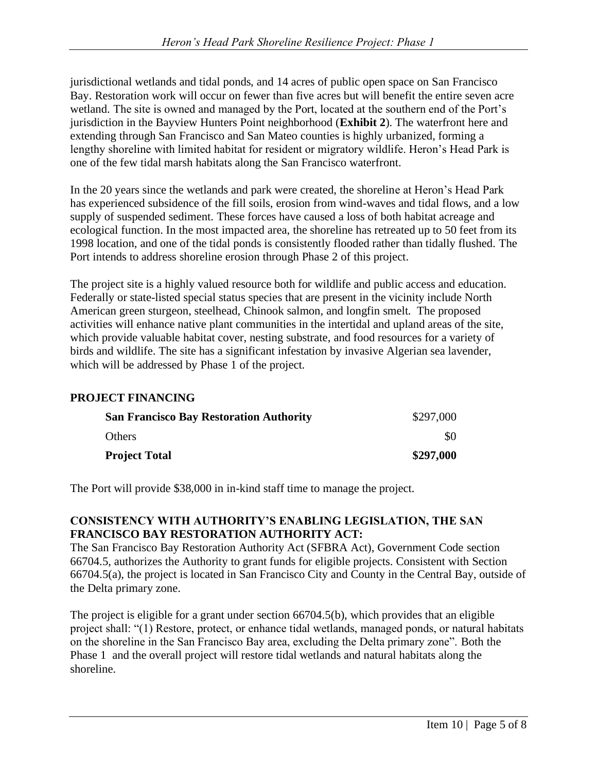jurisdictional wetlands and tidal ponds, and 14 acres of public open space on San Francisco Bay. Restoration work will occur on fewer than five acres but will benefit the entire seven acre wetland. The site is owned and managed by the Port, located at the southern end of the Port's jurisdiction in the Bayview Hunters Point neighborhood (**Exhibit 2**). The waterfront here and extending through San Francisco and San Mateo counties is highly urbanized, forming a lengthy shoreline with limited habitat for resident or migratory wildlife. Heron's Head Park is one of the few tidal marsh habitats along the San Francisco waterfront.

In the 20 years since the wetlands and park were created, the shoreline at Heron's Head Park has experienced subsidence of the fill soils, erosion from wind-waves and tidal flows, and a low supply of suspended sediment. These forces have caused a loss of both habitat acreage and ecological function. In the most impacted area, the shoreline has retreated up to 50 feet from its 1998 location, and one of the tidal ponds is consistently flooded rather than tidally flushed. The Port intends to address shoreline erosion through Phase 2 of this project.

The project site is a highly valued resource both for wildlife and public access and education. Federally or state-listed special status species that are present in the vicinity include North American green sturgeon, steelhead, Chinook salmon, and longfin smelt. The proposed activities will enhance native plant communities in the intertidal and upland areas of the site, which provide valuable habitat cover, nesting substrate, and food resources for a variety of birds and wildlife. The site has a significant infestation by invasive Algerian sea lavender, which will be addressed by Phase 1 of the project.

# **PROJECT FINANCING**

| <b>San Francisco Bay Restoration Authority</b> | \$297,000 |
|------------------------------------------------|-----------|
| <b>Others</b>                                  | \$0       |
| <b>Project Total</b>                           | \$297,000 |

The Port will provide \$38,000 in in-kind staff time to manage the project.

### **CONSISTENCY WITH AUTHORITY'S ENABLING LEGISLATION, THE SAN FRANCISCO BAY RESTORATION AUTHORITY ACT:**

The San Francisco Bay Restoration Authority Act (SFBRA Act), Government Code section 66704.5, authorizes the Authority to grant funds for eligible projects. Consistent with Section 66704.5(a), the project is located in San Francisco City and County in the Central Bay, outside of the Delta primary zone.

The project is eligible for a grant under section 66704.5(b), which provides that an eligible project shall: "(1) Restore, protect, or enhance tidal wetlands, managed ponds, or natural habitats on the shoreline in the San Francisco Bay area, excluding the Delta primary zone". Both the Phase 1 and the overall project will restore tidal wetlands and natural habitats along the shoreline.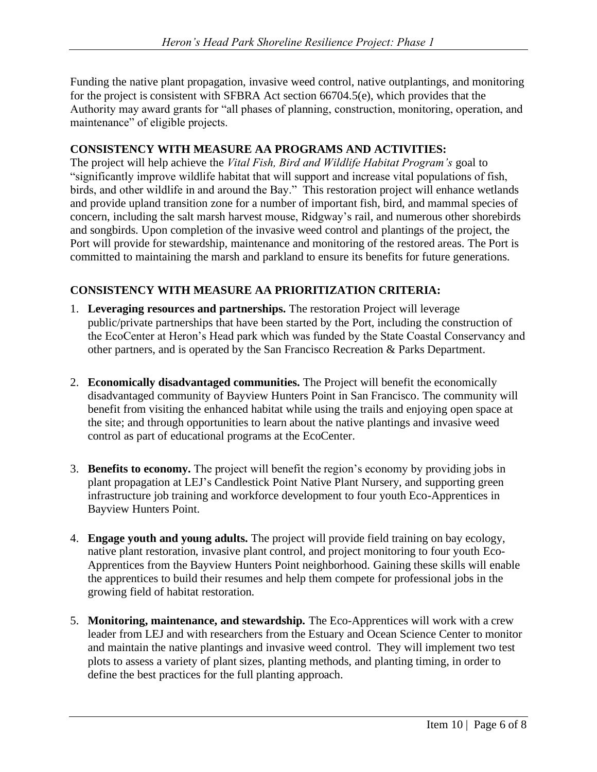Funding the native plant propagation, invasive weed control, native outplantings, and monitoring for the project is consistent with SFBRA Act section 66704.5(e), which provides that the Authority may award grants for "all phases of planning, construction, monitoring, operation, and maintenance" of eligible projects.

### **CONSISTENCY WITH MEASURE AA PROGRAMS AND ACTIVITIES:**

The project will help achieve the *Vital Fish, Bird and Wildlife Habitat Program's* goal to "significantly improve wildlife habitat that will support and increase vital populations of fish, birds, and other wildlife in and around the Bay." This restoration project will enhance wetlands and provide upland transition zone for a number of important fish, bird, and mammal species of concern, including the salt marsh harvest mouse, Ridgway's rail, and numerous other shorebirds and songbirds. Upon completion of the invasive weed control and plantings of the project, the Port will provide for stewardship, maintenance and monitoring of the restored areas. The Port is committed to maintaining the marsh and parkland to ensure its benefits for future generations.

## **CONSISTENCY WITH MEASURE AA PRIORITIZATION CRITERIA:**

- 1. **Leveraging resources and partnerships.** The restoration Project will leverage public/private partnerships that have been started by the Port, including the construction of the EcoCenter at Heron's Head park which was funded by the State Coastal Conservancy and other partners, and is operated by the San Francisco Recreation & Parks Department.
- 2. **Economically disadvantaged communities.** The Project will benefit the economically disadvantaged community of Bayview Hunters Point in San Francisco. The community will benefit from visiting the enhanced habitat while using the trails and enjoying open space at the site; and through opportunities to learn about the native plantings and invasive weed control as part of educational programs at the EcoCenter.
- 3. **Benefits to economy.** The project will benefit the region's economy by providing jobs in plant propagation at LEJ's Candlestick Point Native Plant Nursery, and supporting green infrastructure job training and workforce development to four youth Eco-Apprentices in Bayview Hunters Point.
- 4. **Engage youth and young adults.** The project will provide field training on bay ecology, native plant restoration, invasive plant control, and project monitoring to four youth Eco-Apprentices from the Bayview Hunters Point neighborhood. Gaining these skills will enable the apprentices to build their resumes and help them compete for professional jobs in the growing field of habitat restoration.
- 5. **Monitoring, maintenance, and stewardship.** The Eco-Apprentices will work with a crew leader from LEJ and with researchers from the Estuary and Ocean Science Center to monitor and maintain the native plantings and invasive weed control. They will implement two test plots to assess a variety of plant sizes, planting methods, and planting timing, in order to define the best practices for the full planting approach.